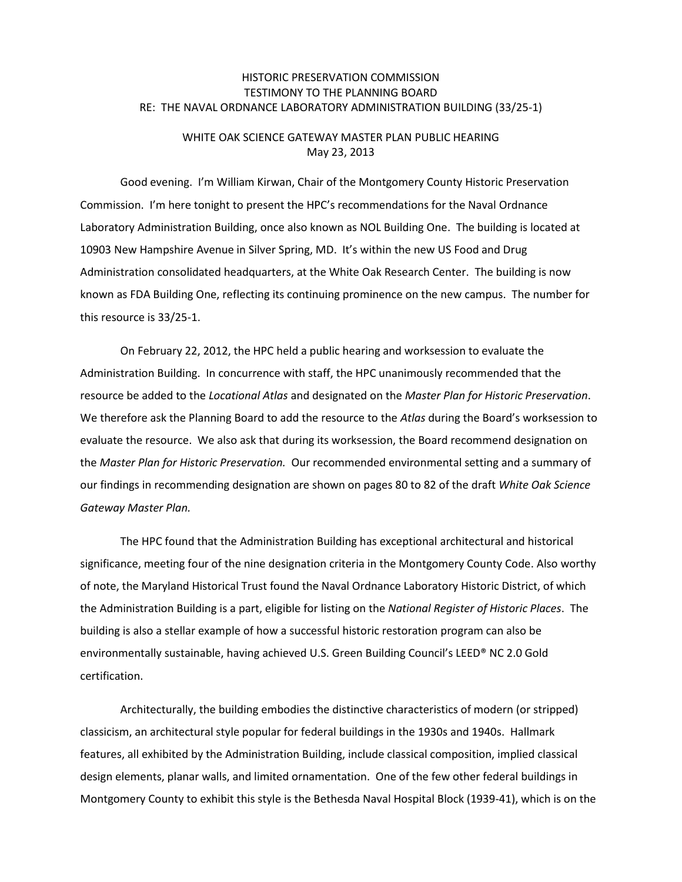## HISTORIC PRESERVATION COMMISSION TESTIMONY TO THE PLANNING BOARD RE: THE NAVAL ORDNANCE LABORATORY ADMINISTRATION BUILDING (33/25-1)

## WHITE OAK SCIENCE GATEWAY MASTER PLAN PUBLIC HEARING May 23, 2013

Good evening. I'm William Kirwan, Chair of the Montgomery County Historic Preservation Commission. I'm here tonight to present the HPC's recommendations for the Naval Ordnance Laboratory Administration Building, once also known as NOL Building One. The building is located at 10903 New Hampshire Avenue in Silver Spring, MD. It's within the new US Food and Drug Administration consolidated headquarters, at the White Oak Research Center. The building is now known as FDA Building One, reflecting its continuing prominence on the new campus. The number for this resource is 33/25-1.

On February 22, 2012, the HPC held a public hearing and worksession to evaluate the Administration Building. In concurrence with staff, the HPC unanimously recommended that the resource be added to the *Locational Atlas* and designated on the *Master Plan for Historic Preservation*. We therefore ask the Planning Board to add the resource to the *Atlas* during the Board's worksession to evaluate the resource. We also ask that during its worksession, the Board recommend designation on the *Master Plan for Historic Preservation.* Our recommended environmental setting and a summary of our findings in recommending designation are shown on pages 80 to 82 of the draft *White Oak Science Gateway Master Plan.*

The HPC found that the Administration Building has exceptional architectural and historical significance, meeting four of the nine designation criteria in the Montgomery County Code. Also worthy of note, the Maryland Historical Trust found the Naval Ordnance Laboratory Historic District, of which the Administration Building is a part, eligible for listing on the *National Register of Historic Places*. The building is also a stellar example of how a successful historic restoration program can also be environmentally sustainable, having achieved U.S. Green Building Council's LEED® NC 2.0 Gold certification.

Architecturally, the building embodies the distinctive characteristics of modern (or stripped) classicism, an architectural style popular for federal buildings in the 1930s and 1940s. Hallmark features, all exhibited by the Administration Building, include classical composition, implied classical design elements, planar walls, and limited ornamentation. One of the few other federal buildings in Montgomery County to exhibit this style is the Bethesda Naval Hospital Block (1939-41), which is on the